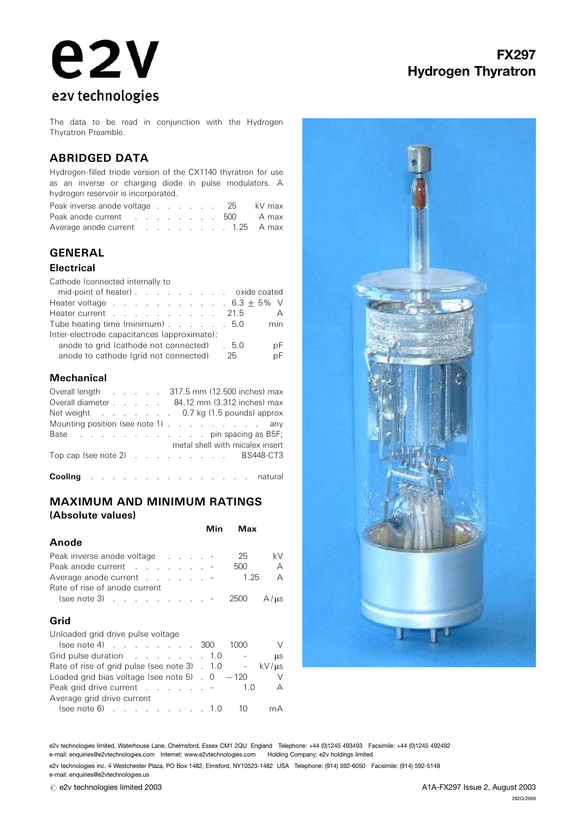# **e2v** e2v technologies

# FX297 Hydrogen Thyratron

The data to be read in conjunction with the Hydrogen Thyratron Preamble.

## ABRIDGED DATA

Hydrogen-filled triode version of the CX1140 thyratron for use as an inverse or charging diode in pulse modulators. A hydrogen reservoir is incorporated.

| Peak inverse anode voltage 25 kV max |  |  |  |  |
|--------------------------------------|--|--|--|--|
| Peak anode current 500 A max         |  |  |  |  |
| Average anode current 1.25 A max     |  |  |  |  |

# GENERAL

#### Electrical

Cathode (connected internally to

| mid-point of heater) oxide coated           |      |     |  |  |
|---------------------------------------------|------|-----|--|--|
| Heater voltage $\ldots$ 6.3 $\pm$ 5% V      |      |     |  |  |
| Heater current 21.5                         |      | A   |  |  |
| Tube heating time (minimum) 5.0             |      | min |  |  |
| Inter-electrode capacitances (approximate): |      |     |  |  |
| anode to grid (cathode not connected) . 5.0 |      | рF  |  |  |
| anode to cathode (grid not connected)       | - 25 | pF  |  |  |

## **Mechanical**

|  |  | Overall length 317.5 mm (12.500 inches) max  |
|--|--|----------------------------------------------|
|  |  | Overall diameter 84.12 mm (3.312 inches) max |
|  |  | Net weight 0.7 kg (1.5 pounds) approx        |
|  |  | Mounting position (see note 1) any           |
|  |  | Base pin spacing as B5F;                     |
|  |  | metal shell with micalex insert              |
|  |  | Top cap (see note 2) BS448-CT3               |
|  |  |                                              |
|  |  | Cooling natural                              |

MAXIMUM AND MINIMUM RATINGS

## Anode

(Absolute values)

| Anvuu                                                                                                         |  |  |     |              |
|---------------------------------------------------------------------------------------------------------------|--|--|-----|--------------|
| Peak inverse anode voltage results and results and results are related by the relationship of the Peak in the |  |  | 25  | kV.          |
| Peak anode current -                                                                                          |  |  | 500 | $\mathsf{A}$ |
| Average anode current - 1.25                                                                                  |  |  |     | A            |
| Rate of rise of anode current                                                                                 |  |  |     |              |
| (see note 3) $\ldots$ $\ldots$ $\ldots$ $\ldots$ $\ldots$ 2500 A/ $\mu$ s                                     |  |  |     |              |

#### Grid

Unloaded grid drive pulse voltage

| $(see note 4)$ 300                                                     | 1000   | $\vee$    |
|------------------------------------------------------------------------|--------|-----------|
| Grid pulse duration 1.0                                                |        | <b>us</b> |
| Rate of rise of grid pulse (see note 3) $\therefore$ 1.0 - kV/ $\mu$ s |        |           |
| Loaded grid bias voltage (see note 5) $\overline{0}$ - 120             |        | $\vee$    |
|                                                                        | 1.0    | $\Delta$  |
| Average grid drive current                                             |        |           |
| $(see note 6)$ 1.0                                                     | - 10 - | mА        |
|                                                                        |        |           |



e2v technologies limited, Waterhouse Lane, Chelmsford, Essex CM1 2QU England Telephone: +44 (0)1245 493493 Facsimile: +44 (0)1245 492492 e-mail: enquiries@e2vtechnologies.com Internet: www.e2vtechnologies.com Holding Company: e2v holdings limited

e2v technologies inc. 4 Westchester Plaza, PO Box 1482, Elmsford, NY10523-1482 USA Telephone: (914) 592-6050 Facsimile: (914) 592-5148 e-mail: enquiries@e2vtechnologies.us

Min Max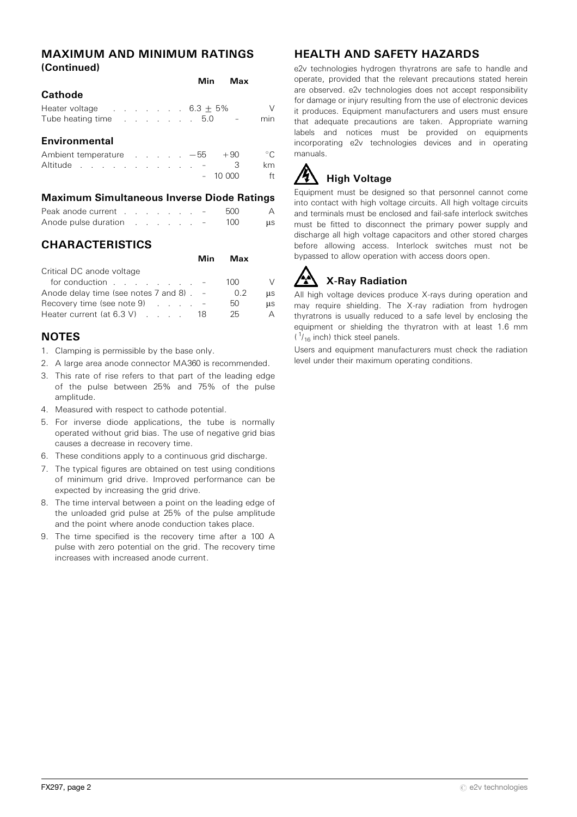#### MAXIMUM AND MINIMUM RATINGS (Continued)

|                                                                                                                                                                                                                               |  |  |  | Min | Max   |             |
|-------------------------------------------------------------------------------------------------------------------------------------------------------------------------------------------------------------------------------|--|--|--|-----|-------|-------------|
| <b>Cathode</b>                                                                                                                                                                                                                |  |  |  |     |       |             |
| Heater voltage $\ldots$ $\ldots$ $\ldots$ 6.3 $\pm$ 5%                                                                                                                                                                        |  |  |  |     |       | V           |
| Tube heating time research in the state of the state of the state of the state of the state of the state of the state of the state of the state of the state of the state of the state of the state of the state of the state |  |  |  |     |       | min         |
| Environmental                                                                                                                                                                                                                 |  |  |  |     |       |             |
| Ambient temperature $\ldots$ $\ldots$ $-55$                                                                                                                                                                                   |  |  |  |     | $+90$ | $^{\circ}C$ |
| Altitude experience and the set of the set of the set of the set of the set of the set of the set of the set o                                                                                                                |  |  |  |     | З     | km          |
|                                                                                                                                                                                                                               |  |  |  |     |       | ft          |

#### Maximum Simultaneous Inverse Diode Ratings

| Peak anode current                                                                                             |  |  |  | $-$ | 500 |            |
|----------------------------------------------------------------------------------------------------------------|--|--|--|-----|-----|------------|
| Anode pulse duration results and results and results are all the Anode pulse and results are all the Anode and |  |  |  | $-$ | 100 | <b>LLS</b> |

# **CHARACTERISTICS**

|                                                | Min | Max |           |
|------------------------------------------------|-----|-----|-----------|
| Critical DC anode voltage                      |     |     |           |
| for conduction $\qquad \qquad \qquad$          |     | 100 | V         |
| Anode delay time (see notes $7$ and $8$ ). $-$ |     | 0.2 | us        |
| Recovery time (see note 9) $\ldots$ $\ldots$   |     | 50  | <b>us</b> |
| Heater current (at $6.3 \text{ V}$ ) $\ldots$  | 18  | 25  | А         |

# **NOTES**

- 1. Clamping is permissible by the base only.
- 2. A large area anode connector MA360 is recommended.
- 3. This rate of rise refers to that part of the leading edge of the pulse between 25% and 75% of the pulse amplitude.
- 4. Measured with respect to cathode potential.
- 5. For inverse diode applications, the tube is normally operated without grid bias. The use of negative grid bias causes a decrease in recovery time.
- 6. These conditions apply to a continuous grid discharge.
- 7. The typical figures are obtained on test using conditions of minimum grid drive. Improved performance can be expected by increasing the grid drive.
- 8. The time interval between a point on the leading edge of the unloaded grid pulse at 25% of the pulse amplitude and the point where anode conduction takes place.
- 9. The time specified is the recovery time after a 100 A pulse with zero potential on the grid. The recovery time increases with increased anode current.

# HEALTH AND SAFETY HAZARDS

e2v technologies hydrogen thyratrons are safe to handle and operate, provided that the relevant precautions stated herein are observed. e2v technologies does not accept responsibility for damage or injury resulting from the use of electronic devices it produces. Equipment manufacturers and users must ensure that adequate precautions are taken. Appropriate warning labels and notices must be provided on equipments incorporating e2v technologies devices and in operating manuals.

# **High Voltage**

Equipment must be designed so that personnel cannot come into contact with high voltage circuits. All high voltage circuits and terminals must be enclosed and fail-safe interlock switches must be fitted to disconnect the primary power supply and discharge all high voltage capacitors and other stored charges before allowing access. Interlock switches must not be bypassed to allow operation with access doors open.

# X-Ray Radiation

All high voltage devices produce X-rays during operation and may require shielding. The X-ray radiation from hydrogen thyratrons is usually reduced to a safe level by enclosing the equipment or shielding the thyratron with at least 1.6 mm  $(1/16$  inch) thick steel panels.

Users and equipment manufacturers must check the radiation level under their maximum operating conditions.